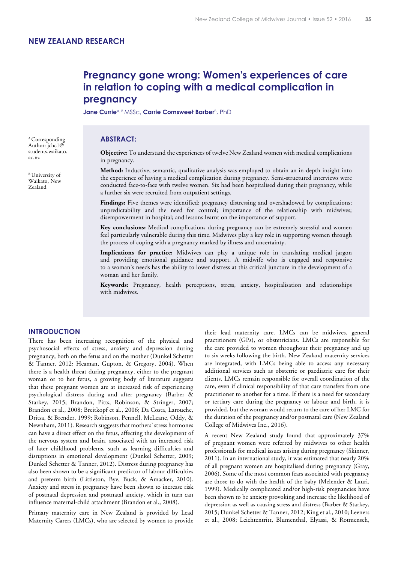# **Pregnancy gone wrong: Women's experiences of care in relation to coping with a medical complication in pregnancy**

Jane Currie<sup>A, B</sup> MSSc, Carrie Cornsweet Barber<sup>B</sup>, PhD

## A Corresponding **ABSTRACT:**

Author: jchc1@ students.waikato. ac.nz

<sup>B</sup> University of Waikato, New Zealand

**Objective:** To understand the experiences of twelve New Zealand women with medical complications in pregnancy.

**Method:** Inductive, semantic, qualitative analysis was employed to obtain an in-depth insight into the experience of having a medical complication during pregnancy. Semi-structured interviews were conducted face-to-face with twelve women. Six had been hospitalised during their pregnancy, while a further six were recruited from outpatient settings.

**Findings:** Five themes were identified: pregnancy distressing and overshadowed by complications; unpredictability and the need for control; importance of the relationship with midwives; disempowerment in hospital; and lessons learnt on the importance of support.

**Key conclusions:** Medical complications during pregnancy can be extremely stressful and women feel particularly vulnerable during this time. Midwives play a key role in supporting women through the process of coping with a pregnancy marked by illness and uncertainty.

**Implications for practice:** Midwives can play a unique role in translating medical jargon and providing emotional guidance and support. A midwife who is engaged and responsive to a woman's needs has the ability to lower distress at this critical juncture in the development of a woman and her family.

**Keywords:** Pregnancy, health perceptions, stress, anxiety, hospitalisation and relationships with midwives.

## **INTRODUCTION**

There has been increasing recognition of the physical and psychosocial effects of stress, anxiety and depression during pregnancy, both on the fetus and on the mother (Dunkel Schetter & Tanner, 2012; Heaman, Gupton, & Gregory, 2004). When there is a health threat during pregnancy, either to the pregnant woman or to her fetus, a growing body of literature suggests that these pregnant women are at increased risk of experiencing psychological distress during and after pregnancy (Barber & Starkey, 2015; Brandon, Pitts, Robinson, & Stringer, 2007; Brandon et al., 2008; Breitkopf et al., 2006; Da Costa, Larouche, Dritsa, & Brender, 1999; Robinson, Pennell, McLeane, Oddy, & Newnham, 2011). Research suggests that mothers' stress hormones can have a direct effect on the fetus, affecting the development of the nervous system and brain, associated with an increased risk of later childhood problems, such as learning difficulties and disruptions in emotional development (Dunkel Schetter, 2009; Dunkel Schetter & Tanner, 2012). Distress during pregnancy has also been shown to be a significant predictor of labour difficulties and preterm birth (Littleton, Bye, Buck, & Amacker, 2010). Anxiety and stress in pregnancy have been shown to increase risk of postnatal depression and postnatal anxiety, which in turn can influence maternal-child attachment (Brandon et al., 2008).

Primary maternity care in New Zealand is provided by Lead Maternity Carers (LMCs), who are selected by women to provide

their lead maternity care. LMCs can be midwives, general practitioners (GPs), or obstetricians. LMCs are responsible for the care provided to women throughout their pregnancy and up to six weeks following the birth. New Zealand maternity services are integrated, with LMCs being able to access any necessary additional services such as obstetric or paediatric care for their clients. LMCs remain responsible for overall coordination of the care, even if clinical responsibility of that care transfers from one practitioner to another for a time. If there is a need for secondary or tertiary care during the pregnancy or labour and birth, it is provided, but the woman would return to the care of her LMC for the duration of the pregnancy and/or postnatal care (New Zealand College of Midwives Inc., 2016).

A recent New Zealand study found that approximately 37% of pregnant women were referred by midwives to other health professionals for medical issues arising during pregnancy (Skinner, 2011). In an international study, it was estimated that nearly 20% of all pregnant women are hospitalised during pregnancy (Gray, 2006). Some of the most common fears associated with pregnancy are those to do with the health of the baby (Melender & Lauri, 1999). Medically complicated and/or high-risk pregnancies have been shown to be anxiety provoking and increase the likelihood of depression as well as causing stress and distress (Barber & Starkey, 2015; Dunkel Schetter & Tanner, 2012; King et al., 2010; Leeners et al., 2008; Leichtentritt, Blumenthal, Elyassi, & Rotmensch,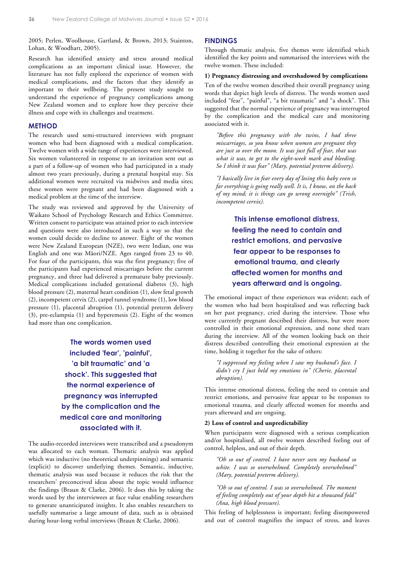2005; Perlen, Woolhouse, Gartland, & Brown, 2013; Stainton, Lohan, & Woodhart, 2005).

Research has identified anxiety and stress around medical complications as an important clinical issue. However, the literature has not fully explored the experience of women with medical complications, and the factors that they identify as important to their wellbeing. The present study sought to understand the experience of pregnancy complications among New Zealand women and to explore how they perceive their illness and cope with its challenges and treatment.

## **METHOD**

The research used semi-structured interviews with pregnant women who had been diagnosed with a medical complication. Twelve women with a wide range of experiences were interviewed. Six women volunteered in response to an invitation sent out as a part of a follow-up of women who had participated in a study almost two years previously, during a prenatal hospital stay. Six additional women were recruited via midwives and media sites; these women were pregnant and had been diagnosed with a medical problem at the time of the interview.

The study was reviewed and approved by the University of Waikato School of Psychology Research and Ethics Committee. Written consent to participate was attained prior to each interview and questions were also introduced in such a way so that the women could decide to decline to answer. Eight of the women were New Zealand European (NZE), two were Indian, one was English and one was Mãori/NZE. Ages ranged from 23 to 40. For four of the participants, this was the first pregnancy; five of the participants had experienced miscarriages before the current pregnancy, and three had delivered a premature baby previously. Medical complications included gestational diabetes (3), high blood pressure (2), maternal heart condition (1), slow fetal growth (2), incompetent cervix (2), carpel tunnel syndrome (1), low blood pressure (1), placental abruption (1), potential preterm delivery (3), pre-eclampsia (1) and hyperemesis (2). Eight of the women had more than one complication.

> **The words women used included 'fear', 'painful', 'a bit traumatic' and 'a shock'. This suggested that the normal experience of pregnancy was interrupted by the complication and the medical care and monitoring associated with it.**

The audio-recorded interviews were transcribed and a pseudonym was allocated to each woman. Thematic analysis was applied which was inductive (no theoretical underpinnings) and semantic (explicit) to discover underlying themes. Semantic, inductive, thematic analysis was used because it reduces the risk that the researchers' preconceived ideas about the topic would influence the findings (Braun & Clarke, 2006). It does this by taking the words used by the interviewees at face value enabling researchers to generate unanticipated insights. It also enables researchers to usefully summarise a large amount of data, such as is obtained during hour-long verbal interviews (Braun & Clarke, 2006).

## **FINDINGS**

Through thematic analysis, five themes were identified which identified the key points and summarised the interviews with the twelve women. These included:

## **1) Pregnancy distressing and overshadowed by complications**

Ten of the twelve women described their overall pregnancy using words that depict high levels of distress. The words women used included "fear", "painful", "a bit traumatic" and "a shock". This suggested that the normal experience of pregnancy was interrupted by the complication and the medical care and monitoring associated with it.

*"Before this pregnancy with the twins, I had three miscarriages, so you know when women are pregnant they are just so over the moon. It was just full of fear, that was what it was, to get to the eight-week mark and bleeding. So I think it was fear" (Mary, potential preterm delivery).*

*"I basically live in fear every day of losing this baby even so far everything is going really well. It is, I know, on the back of my mind; it is things can go wrong overnight" (Trish, incompetent cervix).*

> **This intense emotional distress, feeling the need to contain and restrict emotions, and pervasive fear appear to be responses to emotional trauma, and clearly affected women for months and years afterward and is ongoing.**

The emotional impact of these experiences was evident; each of the women who had been hospitalised and was reflecting back on her past pregnancy, cried during the interview. Those who were currently pregnant described their distress, but were more controlled in their emotional expression, and none shed tears during the interview. All of the women looking back on their distress described controlling their emotional expression at the time, holding it together for the sake of others:

*"I suppressed my feeling when I saw my husband's face. I didn't cry I just held my emotions in" (Cherie, placental abruption).*

This intense emotional distress, feeling the need to contain and restrict emotions, and pervasive fear appear to be responses to emotional trauma, and clearly affected women for months and years afterward and are ongoing.

#### **2) Loss of control and unpredictability**

When participants were diagnosed with a serious complication and/or hospitalised, all twelve women described feeling out of control, helpless, and out of their depth.

*"Oh so out of control. I have never seen my husband so white. I was so overwhelmed. Completely overwhelmed" (Mary, potential preterm delivery).*

*"Oh so out of control. I was so overwhelmed. The moment of feeling completely out of your depth hit a thousand fold" (Ana, high blood pressure).*

This feeling of helplessness is important; feeling disempowered and out of control magnifies the impact of stress, and leaves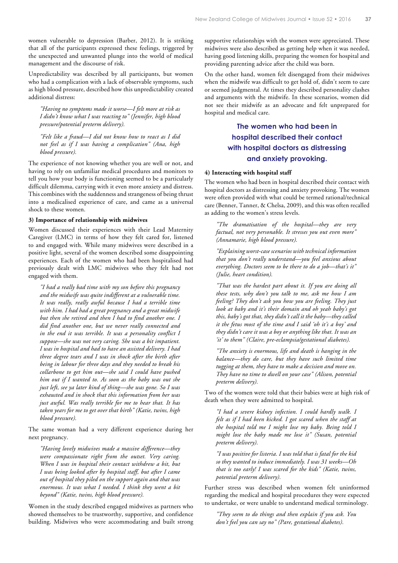women vulnerable to depression (Barber, 2012). It is striking that all of the participants expressed these feelings, triggered by the unexpected and unwanted plunge into the world of medical management and the discourse of risk.

Unpredictability was described by all participants, but women who had a complication with a lack of observable symptoms, such as high blood pressure, described how this unpredictability created additional distress:

*"Having no symptoms made it worse—I felt more at risk as I didn't know what I was reacting to" (Jennifer, high blood pressure/potential preterm delivery).*

*"Felt like a fraud—I did not know how to react as I did not feel as if I was having a complication" (Ana, high blood pressure).*

The experience of not knowing whether you are well or not, and having to rely on unfamiliar medical procedures and monitors to tell you how your body is functioning seemed to be a particularly difficult dilemma, carrying with it even more anxiety and distress. This combines with the suddenness and strangeness of being thrust into a medicalised experience of care, and came as a universal shock to these women.

#### **3) Importance of relationship with midwives**

Women discussed their experiences with their Lead Maternity Caregiver (LMC) in terms of how they felt cared for, listened to and engaged with. While many midwives were described in a positive light, several of the women described some disappointing experiences. Each of the women who had been hospitalised had previously dealt with LMC midwives who they felt had not engaged with them.

*"I had a really bad time with my son before this pregnancy and the midwife was quite indifferent at a vulnerable time. It was really, really awful because I had a terrible time with him. I had had a great pregnancy and a great midwife but then she retired and then I had to find another one. I did find another one, but we never really connected and in the end it was terrible. It was a personality conflict I suppose—she was not very caring. She was a bit impatient. I was in hospital and had to have an assisted delivery. I had three degree tears and I was in shock after the birth after being in labour for three days and they needed to break his collarbone to get him out—she said I could have pushed him out if I wanted to. As soon as the baby was out she just left, see ya later kind of thing—she was gone. So I was exhausted and in shock that this information from her was just awful. Was really terrible for me to hear that. It has taken years for me to get over that birth" (Katie, twins, high blood pressure).*

The same woman had a very different experience during her next pregnancy.

*"Having lovely midwives made a massive difference—they were compassionate right from the outset. Very caring. When I was in hospital their contact withdrew a bit, but I was being looked after by hospital staff, but after I came out of hospital they piled on the support again and that was enormous. It was what I needed. I think they went a bit beyond" (Katie, twins, high blood pressure).*

Women in the study described engaged midwives as partners who showed themselves to be trustworthy, supportive, and confidence building. Midwives who were accommodating and built strong supportive relationships with the women were appreciated. These midwives were also described as getting help when it was needed, having good listening skills, preparing the women for hospital and providing parenting advice after the child was born.

On the other hand, women felt disengaged from their midwives when the midwife was difficult to get hold of, didn't seem to care or seemed judgmental. At times they described personality clashes and arguments with the midwife. In these scenarios, women did not see their midwife as an advocate and felt unprepared for hospital and medical care.

## **The women who had been in hospital described their contact with hospital doctors as distressing and anxiety provoking.**

#### **4) Interacting with hospital staff**

The women who had been in hospital described their contact with hospital doctors as distressing and anxiety provoking. The women were often provided with what could be termed rational/technical care (Benner, Tanner, & Chelsa, 2009), and this was often recalled as adding to the women's stress levels.

*"The dramatisation of the hospital—they are very factual, not very personable. It stresses you out even more" (Annamarie, high blood pressure).*

*"Explaining worst-case scenarios with technical information that you don't really understand—you feel anxious about everything. Doctors seem to be there to do a job—that's it" (Julie, heart condition).* 

*"That was the hardest part about it. If you are doing all these tests, why don't you talk to me, ask me how I am feeling? They don't ask you how you are feeling. They just look at baby and it's their domain and oh yeah baby's got this, baby's got that, they didn't call it the baby—they called it the fetus most of the time and I said 'oh it's a boy' and they didn't care it was a boy or anything like that. It was an 'it' to them" (Claire, pre-eclampsia/gestational diabetes).*

*"The anxiety is enormous, life and death is hanging in the balance—they do care, but they have such limited time tugging at them, they have to make a decision and move on. They have no time to dwell on your case" (Alison, potential preterm delivery).*

Two of the women were told that their babies were at high risk of death when they were admitted to hospital.

*"I had a severe kidney infection. I could hardly walk. I felt as if I had been kicked. I got scared when the staff at the hospital told me I might lose my baby. Being told I might lose the baby made me lose it" (Susan, potential preterm delivery).*

*"I was positive for listeria. I was told that is fatal for the kid so they wanted to induce immediately. I was 31 weeks—Oh that is too early! I was scared for the kids" (Katie, twins, potential preterm delivery).*

Further stress was described when women felt uninformed regarding the medical and hospital procedures they were expected to undertake, or were unable to understand medical terminology.

*"They seem to do things and then explain if you ask. You don't feel you can say no" (Pare, gestational diabetes).*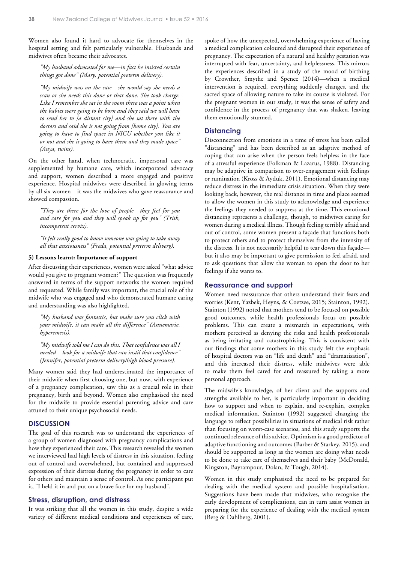Women also found it hard to advocate for themselves in the hospital setting and felt particularly vulnerable. Husbands and midwives often became their advocates.

*"My husband advocated for me—in fact he insisted certain things got done" (Mary, potential preterm delivery).*

*"My midwife was on the case—she would say she needs a scan or she needs this done or that done. She took charge. Like I remember she sat in the room there was a point when the babies were going to be born and they said we will have to send her to [a distant city] and she sat there with the doctors and said she is not going from [home city]. You are going to have to find space in NICU whether you like it or not and she is going to have them and they made space" (Anya, twins).*

On the other hand, when technocratic, impersonal care was supplemented by humane care, which incorporated advocacy and support, women described a more engaged and positive experience. Hospital midwives were described in glowing terms by all six women—it was the midwives who gave reassurance and showed compassion.

*"They are there for the love of people—they feel for you and care for you and they will speak up for you" (Trish, incompetent cervix).*

*"It felt really good to know someone was going to take away all that anxiousness" (Freda, potential preterm delivery).*

#### **5) Lessons learnt: Importance of support**

After discussing their experiences, women were asked "what advice would you give to pregnant women?" The question was frequently answered in terms of the support networks the women required and requested. While family was important, the crucial role of the midwife who was engaged and who demonstrated humane caring and understanding was also highlighted.

*"My husband was fantastic, but make sure you click with your midwife, it can make all the difference" (Annemarie, hyperemesis).* 

*"My midwife told me I can do this. That confidence was all I needed—look for a midwife that can instil that confidence" (Jennifer, potential preterm delivery/high blood pressure).*

Many women said they had underestimated the importance of their midwife when first choosing one, but now, with experience of a pregnancy complication, saw this as a crucial role in their pregnancy, birth and beyond. Women also emphasised the need for the midwife to provide essential parenting advice and care attuned to their unique psychosocial needs.

#### **DISCUSSION**

The goal of this research was to understand the experiences of a group of women diagnosed with pregnancy complications and how they experienced their care. This research revealed the women we interviewed had high levels of distress in this situation, feeling out of control and overwhelmed, but contained and suppressed expression of their distress during the pregnancy in order to care for others and maintain a sense of control. As one participant put it, "I held it in and put on a brave face for my husband".

## **Stress, disruption, and distress**

It was striking that all the women in this study, despite a wide variety of different medical conditions and experiences of care, spoke of how the unexpected, overwhelming experience of having a medical complication coloured and disrupted their experience of pregnancy. The expectation of a natural and healthy gestation was interrupted with fear, uncertainty, and helplessness. This mirrors the experiences described in a study of the mood of birthing by Crowther, Smythe and Spence (2014)—when a medical intervention is required, everything suddenly changes, and the sacred space of allowing nature to take its course is violated. For the pregnant women in our study, it was the sense of safety and confidence in the process of pregnancy that was shaken, leaving them emotionally stunned.

## **Distancing**

Disconnection from emotions in a time of stress has been called "distancing" and has been described as an adaptive method of coping that can arise when the person feels helpless in the face of a stressful experience (Folkman & Lazarus, 1988). Distancing may be adaptive in comparison to over-engagement with feelings or rumination (Kross & Ayduk, 2011). Emotional distancing may reduce distress in the immediate crisis situation. When they were looking back, however, the real distance in time and place seemed to allow the women in this study to acknowledge and experience the feelings they needed to suppress at the time. This emotional distancing represents a challenge, though, to midwives caring for women during a medical illness. Though feeling terribly afraid and out of control, some women present a façade that functions both to protect others and to protect themselves from the intensity of the distress. It is not necessarily helpful to tear down this façade but it also may be important to give permission to feel afraid, and to ask questions that allow the woman to open the door to her feelings if she wants to.

#### **Reassurance and support**

Women need reassurance that others understand their fears and worries (Kent, Yazbek, Heyns, & Coetzee, 2015; Stainton, 1992). Stainton (1992) noted that mothers tend to be focused on possible good outcomes, while health professionals focus on possible problems. This can create a mismatch in expectations, with mothers perceived as denying the risks and health professionals as being irritating and catastrophising. This is consistent with our findings that some mothers in this study felt the emphasis of hospital doctors was on "life and death" and "dramatisation", and this increased their distress, while midwives were able to make them feel cared for and reassured by taking a more personal approach.

The midwife's knowledge, of her client and the supports and strengths available to her, is particularly important in deciding how to support and when to explain, and re-explain, complex medical information. Stainton (1992) suggested changing the language to reflect possibilities in situations of medical risk rather than focusing on worst-case scenarios, and this study supports the continued relevance of this advice. Optimism is a good predictor of adaptive functioning and outcomes (Barber & Starkey, 2015), and should be supported as long as the women are doing what needs to be done to take care of themselves and their baby (McDonald, Kingston, Bayrampour, Dolan, & Tough, 2014).

Women in this study emphasised the need to be prepared for dealing with the medical system and possible hospitalisation. Suggestions have been made that midwives, who recognise the early development of complications, can in turn assist women in preparing for the experience of dealing with the medical system (Berg & Dahlberg, 2001).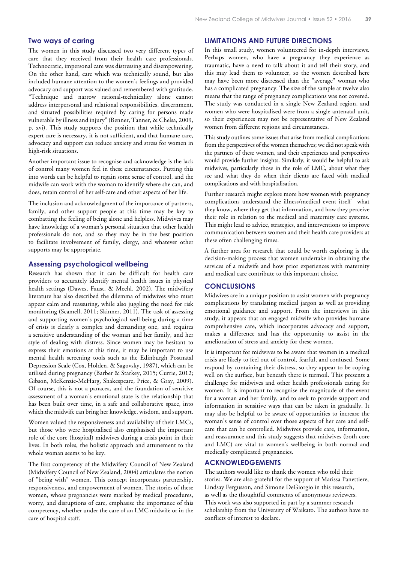## **Two ways of caring**

The women in this study discussed two very different types of care that they received from their health care professionals. Technocratic, impersonal care was distressing and disempowering. On the other hand, care which was technically sound, but also included humane attention to the women's feelings and provided advocacy and support was valued and remembered with gratitude. "Technique and narrow rational-technicality alone cannot address interpersonal and relational responsibilities, discernment, and situated possibilities required by caring for persons made vulnerable by illness and injury" (Benner, Tanner, & Chelsa, 2009, p. xvi). This study supports the position that while technically expert care is necessary, it is not sufficient, and that humane care, advocacy and support can reduce anxiety and stress for women in high-risk situations.

Another important issue to recognise and acknowledge is the lack of control many women feel in these circumstances. Putting this into words can be helpful to regain some sense of control, and the midwife can work with the woman to identify where she can, and does, retain control of her self-care and other aspects of her life.

The inclusion and acknowledgment of the importance of partners, family, and other support people at this time may be key to combatting the feeling of being alone and helpless. Midwives may have knowledge of a woman's personal situation that other health professionals do not, and so they may be in the best position to facilitate involvement of family, clergy, and whatever other supports may be appropriate.

## **Assessing psychological wellbeing**

Research has shown that it can be difficult for health care providers to accurately identify mental health issues in physical health settings (Dawes, Faust, & Meehl, 2002). The midwifery literature has also described the dilemma of midwives who must appear calm and reassuring, while also juggling the need for risk monitoring (Scamell, 2011; Skinner, 2011). The task of assessing and supporting women's psychological well-being during a time of crisis is clearly a complex and demanding one, and requires a sensitive understanding of the woman and her family, and her style of dealing with distress. Since women may be hesitant to express their emotions at this time, it may be important to use mental health screening tools such as the Edinburgh Postnatal Depression Scale (Cox, Holden, & Sagovsky, 1987), which can be utilised during pregnancy (Barber & Starkey, 2015; Currie, 2012; Gibson, McKenzie-McHarg, Shakespeare, Price, & Gray, 2009). Of course, this is not a panacea, and the foundation of sensitive assessment of a woman's emotional state is the relationship that has been built over time, in a safe and collaborative space, into which the midwife can bring her knowledge, wisdom, and support.

Women valued the responsiveness and availability of their LMCs, but those who were hospitalised also emphasised the important role of the core (hospital) midwives during a crisis point in their lives. In both roles, the holistic approach and attunement to the whole woman seems to be key.

The first competency of the Midwifery Council of New Zealand (Midwifery Council of New Zealand, 2004) articulates the notion of "being with" women. This concept incorporates partnership, responsiveness, and empowerment of women. The stories of these women, whose pregnancies were marked by medical procedures, worry, and disruptions of care, emphasise the importance of this competency, whether under the care of an LMC midwife or in the care of hospital staff.

## **LIMITATIONS AND FUTURE DIRECTIONS**

In this small study, women volunteered for in-depth interviews. Perhaps women, who have a pregnancy they experience as traumatic, have a need to talk about it and tell their story, and this may lead them to volunteer, so the women described here may have been more distressed than the "average" woman who has a complicated pregnancy. The size of the sample at twelve also means that the range of pregnancy complications was not covered. The study was conducted in a single New Zealand region, and women who were hospitalised were from a single antenatal unit, so their experiences may not be representative of New Zealand women from different regions and circumstances.

This study outlines some issues that arise from medical complications from the perspectives of the women themselves; we did not speak with the partners of these women, and their experiences and perspectives would provide further insights. Similarly, it would be helpful to ask midwives, particularly those in the role of LMC, about what they see and what they do when their clients are faced with medical complications and with hospitalisation.

Further research might explore more how women with pregnancy complications understand the illness/medical event itself—what they know, where they get that information, and how they perceive their role in relation to the medical and maternity care systems. This might lead to advice, strategies, and interventions to improve communication between women and their health care providers at these often challenging times.

A further area for research that could be worth exploring is the decision-making process that women undertake in obtaining the services of a midwife and how prior experiences with maternity and medical care contribute to this important choice.

## **CONCLUSIONS**

Midwives are in a unique position to assist women with pregnancy complications by translating medical jargon as well as providing emotional guidance and support. From the interviews in this study, it appears that an engaged midwife who provides humane comprehensive care, which incorporates advocacy and support, makes a difference and has the opportunity to assist in the amelioration of stress and anxiety for these women.

It is important for midwives to be aware that women in a medical crisis are likely to feel out of control, fearful, and confused. Some respond by containing their distress, so they appear to be coping well on the surface, but beneath there is turmoil. This presents a challenge for midwives and other health professionals caring for women. It is important to recognise the magnitude of the event for a woman and her family, and to seek to provide support and information in sensitive ways that can be taken in gradually. It may also be helpful to be aware of opportunities to increase the woman's sense of control over those aspects of her care and selfcare that can be controlled. Midwives provide care, information, and reassurance and this study suggests that midwives (both core and LMC) are vital to women's wellbeing in both normal and medically complicated pregnancies.

## **ACKNOWLEDGEMENTS**

The authors would like to thank the women who told their stories. We are also grateful for the support of Marissa Panettiere, Lindsay Fergusson, and Simone DeGiorgio in this research, as well as the thoughtful comments of anonymous reviewers. This work was also supported in part by a summer research scholarship from the University of Waikato. The authors have no conflicts of interest to declare.